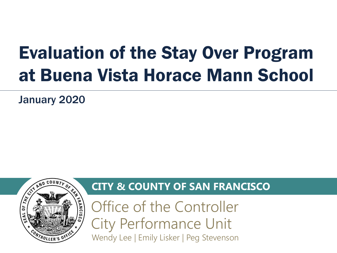# Evaluation of the Stay Over Program at Buena Vista Horace Mann School

January 2020



# **CITY & COUNTY OF SAN FRANCISCO**

Office of the Controller City Performance Unit Wendy Lee | Emily Lisker | Peg Stevenson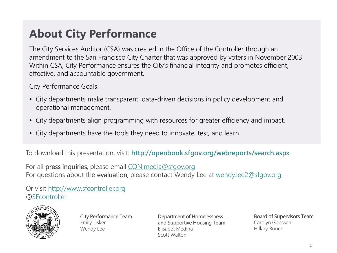# **About City Performance**

The City Services Auditor (CSA) was created in the Office of the Controller through an amendment to the San Francisco City Charter that was approved by voters in November 2003. Within CSA, City Performance ensures the City's financial integrity and promotes efficient, effective, and accountable government.

City Performance Goals:

- City departments make transparent, data-driven decisions in policy development and operational management.
- City departments align programming with resources for greater efficiency and impact.
- City departments have the tools they need to innovate, test, and learn.

To download this presentation, visit: **http://openbook.sfgov.org/webreports/search.aspx**

For all press inquiries, please email [CON.media@sfgov.org](mailto:CON.media@sfgov.org) For questions about the evaluation, please contact Wendy Lee at [wendy.lee2@sfgov.org](mailto:wendy.lee2@sfgov.org)

Or visit [http://www.sfcontroller.org](http://www.sfcontroller.org/) @[SFcontroller](https://twitter.com/sfcontroller)



City Performance Team Emily Lisker Wendy Lee

Department of Homelessness and Supportive Housing Team Elisabet Medina Scott Walton

Board of Supervisors Team Carolyn Goossen Hillary Ronen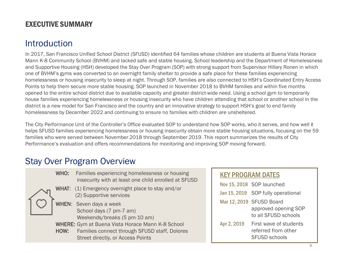### EXECUTIVE SUMMARY

# Introduction

In 2017, San Francisco Unified School District (SFUSD) identified 64 families whose children are students at Buena Vista Horace Mann K-8 Community School (BVHM) and lacked safe and stable housing. School leadership and the Department of Homelessness and Supportive Housing (HSH) developed the Stay Over Program (SOP) with strong support from Supervisor Hillary Ronen in which one of BVHM's gyms was converted to an overnight family shelter to provide a safe place for these families experiencing homelessness or housing insecurity to sleep at night. Through SOP, families are also connected to HSH's Coordinated Entry Access Points to help them secure more stable housing. SOP launched in November 2018 to BVHM families and within five months opened to the entire school district due to available capacity and greater district-wide need. Using a school gym to temporarily house families experiencing homelessness or housing insecurity who have children attending that school or another school in the district is a new model for San Francisco and the country and an innovative strategy to support HSH's goal to end family homelessness by December 2022 and continuing to ensure no families with children are unsheltered.

The City Performance Unit of the Controller's Office evaluated SOP to understand how SOP works, who it serves, and how well it helps SFUSD families experiencing homelessness or housing insecurity obtain more stable housing situations, focusing on the 59 families who were served between November 2018 through September 2019. This report summarizes the results of City Performance's evaluation and offers recommendations for monitoring and improving SOP moving forward.

## Stay Over Program Overview

|  |      | <b>WHO:</b> Families experiencing homelessness or housing<br>insecurity with at least one child enrolled at SFUSD                             |
|--|------|-----------------------------------------------------------------------------------------------------------------------------------------------|
|  |      | <b>WHAT:</b> (1) Emergency overnight place to stay and/or<br>(2) Supportive services                                                          |
|  |      | WHEN: Seven days a week<br>School days (7 pm-7 am)<br>Weekends/breaks (5 pm-10 am)                                                            |
|  | HOW: | <b>WHERE:</b> Gym at Buena Vista Horace Mann K-8 School<br>Families connect through SFUSD staff, Dolores<br>Street directly, or Access Points |

| <b>KEY PROGRAM DATES</b> |                                                                |  |  |
|--------------------------|----------------------------------------------------------------|--|--|
|                          | Nov 15, 2018 SOP launched                                      |  |  |
|                          | Jan 15, 2019 SOP fully operational                             |  |  |
|                          | Mar 12, 2019 SFUSD Board                                       |  |  |
|                          | approved opening SOP<br>to all SFUSD schools                   |  |  |
| Apr 2, 2019              | First wave of students<br>referred from other<br>SFUSD schools |  |  |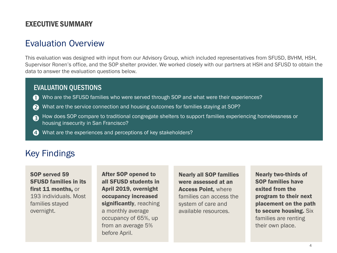### EXECUTIVE SUMMARY

## Evaluation Overview

This evaluation was designed with input from our Advisory Group, which included representatives from SFUSD, BVHM, HSH, Supervisor Ronen's office, and the SOP shelter provider. We worked closely with our partners at HSH and SFUSD to obtain the data to answer the evaluation questions below.

### EVALUATION QUESTIONS

- Who are the SFUSD families who were served through SOP and what were their experiences?  $\mathbf \Omega$
- What are the service connection and housing outcomes for families staying at SOP? 2
- How does SOP compare to traditional congregate shelters to support families experiencing homelessness or housing insecurity in San Francisco? A
- **4** What are the experiences and perceptions of key stakeholders?

# Key Findings

SFUSD families in its first 11 months, or 193 individuals. Most families stayed overnight.

SOP served 59 **After SOP opened to Nearly** all SFUSD students in April 2019, overnight occupancy increased significantly, reaching a monthly average occupancy of 65%, up from an average 5% before April.

Nearly all SOP families were assessed at an Access Point, where families can access the system of care and available resources.

Nearly two-thirds of SOP families have exited from the program to their next placement on the path to secure housing. Six families are renting their own place.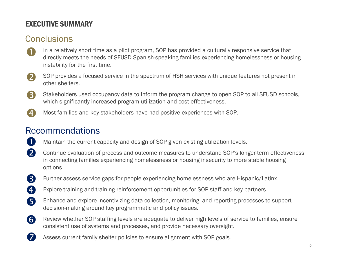## EXECUTIVE SUMMARY

# **Conclusions**

- In a relatively short time as a pilot program, SOP has provided a culturally responsive service that directly meets the needs of SFUSD Spanish-speaking families experiencing homelessness or housing instability for the first time.  $\mathbf 0$
- SOP provides a focused service in the spectrum of HSH services with unique features not present in other shelters.  $\mathbf{Z}$
- Stakeholders used occupancy data to inform the program change to open SOP to all SFUSD schools, which significantly increased program utilization and cost effectiveness. 3
- Most families and key stakeholders have had positive experiences with SOP. 4

# Recommendations

7

- Maintain the current capacity and design of SOP given existing utilization levels. O
- Continue evaluation of process and outcome measures to understand SOP's longer-term effectiveness in connecting families experiencing homelessness or housing insecurity to more stable housing options. 2
- Further assess service gaps for people experiencing homelessness who are Hispanic/Latinx. 3
- Explore training and training reinforcement opportunities for SOP staff and key partners. Ð
- Enhance and explore incentivizing data collection, monitoring, and reporting processes to support decision-making around key programmatic and policy issues. 6
- Review whether SOP staffing levels are adequate to deliver high levels of service to families, ensure consistent use of systems and processes, and provide necessary oversight. 6
	- Assess current family shelter policies to ensure alignment with SOP goals.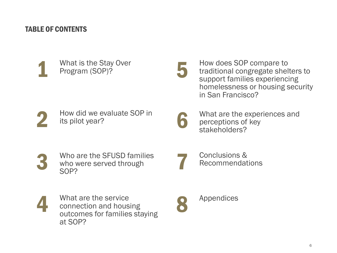### TABLE OF CONTENTS

What is the Stay Over<br>Program (SOP)?

5

How does SOP compare to traditional congregate shelters to support families experiencing homelessness or housing security in San Francisco?

How did we evaluate SOP in its pilot year?

What are the experiences and<br>perceptions of key<br>stakeholders?

Who are the SFUSD families who were served through<br>SOP?

Conclusions &<br>Recommendations

4

What are the service connection and housing outcomes for families staying at SOP?

Appendices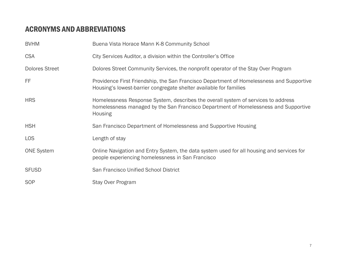### ACRONYMS AND ABBREVIATIONS

| <b>BVHM</b>           | Buena Vista Horace Mann K-8 Community School                                                                                                                                               |
|-----------------------|--------------------------------------------------------------------------------------------------------------------------------------------------------------------------------------------|
| <b>CSA</b>            | City Services Auditor, a division within the Controller's Office                                                                                                                           |
| <b>Dolores Street</b> | Dolores Street Community Services, the nonprofit operator of the Stay Over Program                                                                                                         |
| FF                    | Providence First Friendship, the San Francisco Department of Homelessness and Supportive<br>Housing's lowest-barrier congregate shelter available for families                             |
| <b>HRS</b>            | Homelessness Response System, describes the overall system of services to address<br>homelessness managed by the San Francisco Department of Homelessness and Supportive<br><b>Housing</b> |
| <b>HSH</b>            | San Francisco Department of Homelessness and Supportive Housing                                                                                                                            |
| <b>LOS</b>            | Length of stay                                                                                                                                                                             |
| <b>ONE System</b>     | Online Navigation and Entry System, the data system used for all housing and services for<br>people experiencing homelessness in San Francisco                                             |
| <b>SFUSD</b>          | San Francisco Unified School District                                                                                                                                                      |
| <b>SOP</b>            | <b>Stay Over Program</b>                                                                                                                                                                   |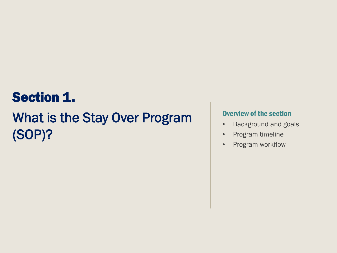# Section 1.

# What is the Stay Over Program (SOP)?

### Overview of the section

- Background and goals
- Program timeline
- Program workflow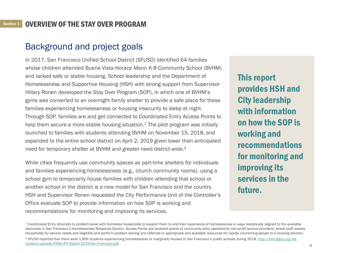# Background and project goals

In 2017, San Francisco Unified School District (SFUSD) identified 64 families whose children attended Buena Vista Horace Mann K-8 Community School (BVHM) and lacked safe or stable housing. School leadership and the Department of Homelessness and Supportive Housing (HSH) with strong support from Supervisor Hillary Ronen developed the Stay Over Program (SOP), in which one of BVHM's gyms was converted to an overnight family shelter to provide a safe place for these families experiencing homelessness or housing insecurity to sleep at night. Through SOP, families are and get connected to Coordinated Entry Access Points to help them secure a more stable housing situation.<sup>1</sup> The pilot program was initially launched to families with students attending BVHM on November 15, 2018, and expanded to the entire school district on April 2, 2019 given lower than anticipated need for temporary shelter at BVHM and greater need district-wide.2

While cities frequently use community spaces as part-time shelters for individuals and families experiencing homelessness (e.g., church community rooms), using a school gym to temporarily house families with children attending that school or another school in the district is a new model for San Francisco and the country. HSH and Supervisor Ronen requested the City Performance Unit of the Controller's Office evaluate SOP to provide information on how SOP is working and recommendations for monitoring and improving its services.

This report provides HSH and City leadership with information on how the SOP is working and recommendations for monitoring and improving its services in the future.

<sup>2</sup> [SFUSD reported that there were 1,806 students experiencing homelessness or marginally housed in San Francisco's public schools during 2018. http://hsh.sfgov.org/wp](http://hsh.sfgov.org/wp-content/uploads/FINAL-PIT-Report-2019-San-Francisco.pdf)content/uploads/FINAL-PIT-Report-2019-San-Francisco.pdf

<sup>&</sup>lt;sup>1</sup> Coordinated Entry attempts to problem-solve with homeless households to support them to end their experience of homelessness in ways realistically aligned to the available resources in San Francisco's Homelessness Response System. Access Points are localized points of community entry operated by non-profit service providers, where staff assess households for service needs and eligibility and perform problem solving and referrals to appropriate and available resources for rapidly connecting people to a housing solution.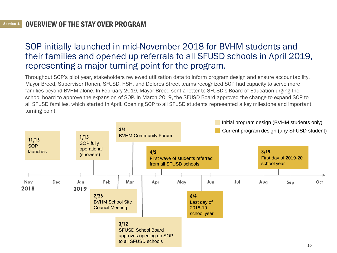# SOP initially launched in mid-November 2018 for BVHM students and their families and opened up referrals to all SFUSD schools in April 2019, representing a major turning point for the program.

Throughout SOP's pilot year, stakeholders reviewed utilization data to inform program design and ensure accountability. Mayor Breed, Supervisor Ronen, SFUSD, HSH, and Dolores Street teams recognized SOP had capacity to serve more families beyond BVHM alone. In February 2019, Mayor Breed sent a letter to SFUSD's Board of Education urging the school board to approve the expansion of SOP. In March 2019, the SFUSD Board approved the change to expand SOP to all SFUSD families, which started in April. Opening SOP to all SFUSD students represented a key milestone and important turning point.

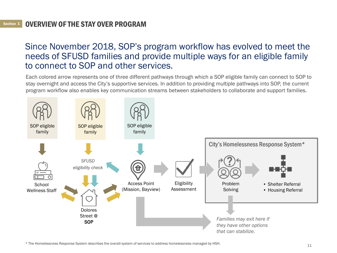#### Section 1 <sup>1</sup> OVERVIEW OF THE STAY OVER PROGRAM

## Since November 2018, SOP's program workflow has evolved to meet the needs of SFUSD families and provide multiple ways for an eligible family to connect to SOP and other services.

Each colored arrow represents one of three different pathways through which a SOP eligible family can connect to SOP to stay overnight and access the City's supportive services. In addition to providing multiple pathways into SOP, the current program workflow also enables key communication streams between stakeholders to collaborate and support families.



\* The Homelessness Response System describes the overall system of services to address homelessness managed by HSH.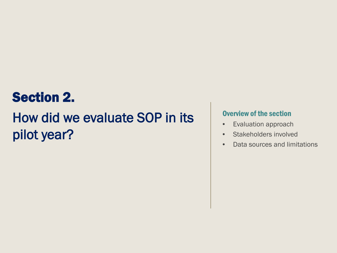# Section 2.

# How did we evaluate SOP in its pilot year?

### Overview of the section

- Evaluation approach
- Stakeholders involved
- Data sources and limitations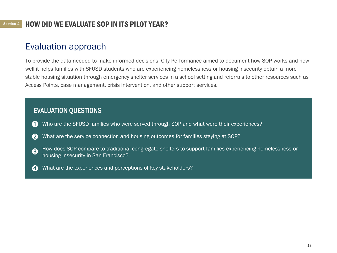### HOW DID WE EVALUATE SOP IN ITS PILOT YEAR? <sup>2</sup>

# Evaluation approach

To provide the data needed to make informed decisions, City Performance aimed to document how SOP works and how well it helps families with SFUSD students who are experiencing homelessness or housing insecurity obtain a more stable housing situation through emergency shelter services in a school setting and referrals to other resources such as Access Points, case management, crisis intervention, and other support services.

### EVALUATION QUESTIONS

- Who are the SFUSD families who were served through SOP and what were their experiences?  $\mathbf \Omega$
- What are the service connection and housing outcomes for families staying at SOP?  $\boldsymbol{Q}$
- How does SOP compare to traditional congregate shelters to support families experiencing homelessness or housing insecurity in San Francisco? 8
- What are the experiences and perceptions of key stakeholders? A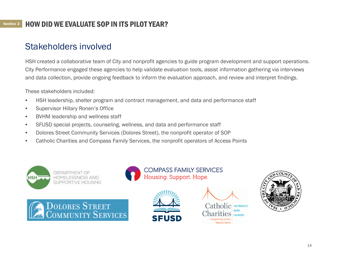### Section 2 HOW DID WE EVALUATE SOP IN ITS PILOT YEAR?

# Stakeholders involved

HSH created a collaborative team of City and nonprofit agencies to guide program development and support operations. City Performance engaged these agencies to help validate evaluation tools, assist information gathering via interviews and data collection, provide ongoing feedback to inform the evaluation approach, and review and interpret findings.

These stakeholders included:

- HSH leadership, shelter program and contract management, and data and performance staff
- Supervisor Hillary Ronen's Office
- BVHM leadership and wellness staff
- SFUSD special projects, counseling, wellness, and data and performance staff
- Dolores Street Community Services (Dolores Street), the nonprofit operator of SOP
- Catholic Charities and Compass Family Services, the nonprofit operators of Access Points











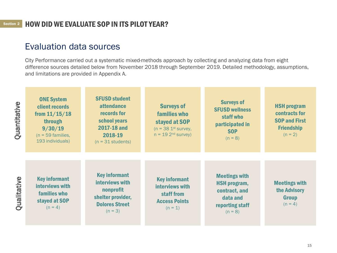# Evaluation data sources

City Performance carried out a systematic mixed-methods approach by collecting and analyzing data from eight difference sources detailed below from November 2018 through September 2019. Detailed methodology, assumptions, and limitations are provided in Appendix A.

| Quantitative               | <b>ONE System</b><br>client records<br>from $11/15/18$<br>through<br>9/30/19<br>$(n = 59$ families,<br>193 individuals) | <b>SFUSD student</b><br><b>attendance</b><br>records for<br>school years<br>2017-18 and<br>2018-19<br>$(n = 31$ students) | <b>Surveys of</b><br>families who<br>stayed at SOP<br>$(n = 38 1st$ survey,<br>$n = 19$ 2 <sup>nd</sup> survey) | <b>Surveys of</b><br><b>SFUSD wellness</b><br>staff who<br>participated in<br><b>SOP</b><br>$(n = 8)$    | <b>HSH program</b><br>contracts for<br><b>SOP and First</b><br><b>Friendship</b><br>$(n = 2)$ |
|----------------------------|-------------------------------------------------------------------------------------------------------------------------|---------------------------------------------------------------------------------------------------------------------------|-----------------------------------------------------------------------------------------------------------------|----------------------------------------------------------------------------------------------------------|-----------------------------------------------------------------------------------------------|
| ualitative<br>$\mathbf{C}$ | <b>Key informant</b><br>interviews with<br>families who<br>stayed at SOP<br>$(n = 4)$                                   | <b>Key informant</b><br>interviews with<br>nonprofit<br>shelter provider,<br><b>Dolores Street</b><br>$(n = 3)$           | <b>Key informant</b><br>interviews with<br>staff from<br><b>Access Points</b><br>$(n = 1)$                      | <b>Meetings with</b><br><b>HSH</b> program,<br>contract, and<br>data and<br>reporting staff<br>$(n = 8)$ | <b>Meetings with</b><br>the Advisory<br><b>Group</b><br>$(n = 4)$                             |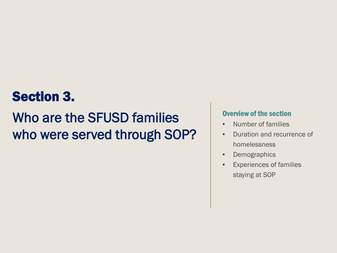# Section 3.

# Who are the SFUSD families who were served through SOP?

### Overview of the section

- Number of families
- Duration and recurrence of homelessness
- Demographics
- Experiences of families staying at SOP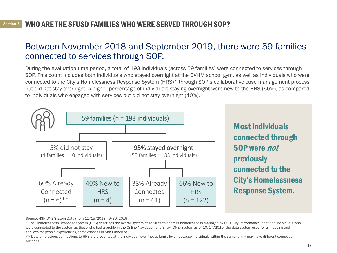## Between November 2018 and September 2019, there were 59 families connected to services through SOP.

During the evaluation time period, a total of 193 individuals (across 59 families) were connected to services through SOP. This count includes both individuals who stayed overnight at the BVHM school gym, as well as individuals who were connected to the City's Homelessness Response System (HRS)\* through SOP's collaborative case management process but did *not* stay overnight. A higher percentage of individuals staying overnight were new to the HRS (66%), as compared to individuals who engaged with services but did not stay overnight (40%).



Most individuals connected through SOP were not previously connected to the City's Homelessness Response System.

Source: HSH ONE System Data (from 11/15/2018 - 9/30/2019).

\* The Homelessness Response System (HRS) describes the overall system of services to address homelessness managed by HSH. City Performance identified individuals who were connected to the system as those who had a profile in the Online Navigation and Entry (ONE) System as of 10/17/2019, the data system used for all housing and services for people experiencing homelessness in San Francisco.

\*\* Data on previous connections to HRS are presented at the individual level (not at family-level) because individuals within the same family may have different connection histories.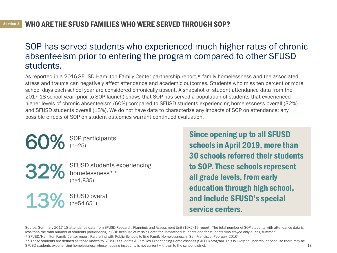# SOP has served students who experienced much higher rates of chronic absenteeism prior to entering the program compared to other SFUSD students.

As reported in a 2016 SFUSD-Hamilton Family Center partnership report,\* family homelessness and the associated stress and trauma can negatively affect attendance and academic outcomes. Students who miss ten percent or more school days each school year are considered chronically absent. A snapshot of student attendance data from the 2017-18 school year (prior to SOP launch) shows that SOP has served a population of students that experienced higher levels of chronic absenteeism (60%) compared to SFUSD students experiencing homelessness overall (32%) and SFUSD students overall (13%). We do not have data to characterize any impacts of SOP on attendance; any possible effects of SOP on student outcomes warrant continued evaluation.

> SOP participants (n=25)

SFUSD students experiencing homelessness\*\*  $(n=1.835)$ 

13% SFUSD overall (n=54,651)

Since opening up to all SFUSD schools in April 2019, more than 30 schools referred their students to SOP. These schools represent all grade levels, from early education through high school, and include SFUSD's special service centers.

Source: Summary 2017-18 attendance data from SFUSD Research, Planning, and Assessment Unit (10/2/19 report). The total number of SOP students with attendance data is less than the total number of students participating in SOP because of missing data for unmatched students and for students who stayed only during summer.

\* SFUSD/Hamilton Family Center report, Partnering with Public Schools to End Family Homelessness in San Francisco (February 2016).

\*\* These students are defined as those known to SFUSD's Students & Families Experiencing Homelessness (SAFEH) program. This is likely an undercount because there may be SFUSD students experiencing homelessness whose housing insecurity is not currently known to the school district.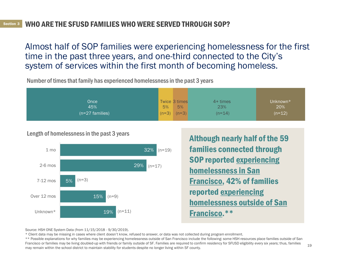Almost half of SOP families were experiencing homelessness for the first time in the past three years, and one-third connected to the City's system of services within the first month of becoming homeless.

Number of times that family has experienced homelessness in the past 3 years

| Once              | Twice 3 times      | $4+$ times | Unknown* |
|-------------------|--------------------|------------|----------|
| 45%               | 5%<br>5%           | 23%        | 20%      |
| $(n=27$ families) | $(n=3)$<br>$(n=3)$ | $(n=14)$   | $(n=12)$ |

Length of homelessness in the past 3 years



Although nearly half of the 59 families connected through SOP reported experiencing homelessness in San Francisco, 42% of families reported experiencing homelessness outside of San Francisco.\*\*

Source: HSH ONE System Data (from 11/15/2018 - 9/30/2019).

\* Client data may be missing in cases where client doesn't know, refused to answer, or data was not collected during program enrollment.

\*\* Possible explanations for why families may be experiencing homelessness outside of San Francisco include the following: some HSH resources place families outside of San Francisco or families may be living doubled-up with friends or family outside of SF. Families are required to confirm residency for SFUSD eligibility every six years; thus, families may remain within the school district to maintain stability for students despite no longer living within SF county.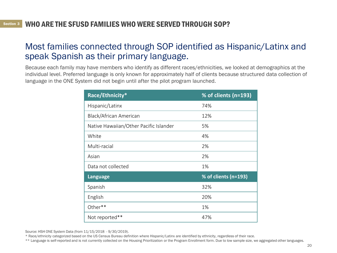## Most families connected through SOP identified as Hispanic/Latinx and speak Spanish as their primary language.

Because each family may have members who identify as different races/ethnicities, we looked at demographics at the individual level. Preferred language is only known for approximately half of clients because structured data collection of language in the ONE System did not begin until after the pilot program launched.

| Race/Ethnicity*                        | % of clients (n=193) |
|----------------------------------------|----------------------|
| Hispanic/Latinx                        | 74%                  |
| Black/African American                 | 12%                  |
| Native Hawaiian/Other Pacific Islander | 5%                   |
| White                                  | 4%                   |
| Multi-racial                           | 2%                   |
| Asian                                  | 2%                   |
| Data not collected                     | 1%                   |
| <b>Language</b>                        | % of clients (n=193) |
| Spanish                                | 32%                  |
| English                                | 20%                  |
| Other**                                | 1%                   |
| Not reported**                         | 47%                  |

Source: HSH ONE System Data (from 11/15/2018 - 9/30/2019).

\* Race/ethnicity categorized based on the US Census Bureau definition where Hispanic/Latinx are identified by ethnicity, regardless of their race.

<sup>\*\*</sup> Language is self-reported and is not currently collected on the Housing Prioritization or the Program Enrollment form. Due to low sample size, we aggregated other languages.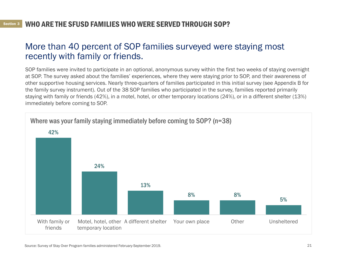# More than 40 percent of SOP families surveyed were staying most recently with family or friends.

SOP families were invited to participate in an optional, anonymous survey within the first two weeks of staying overnight at SOP. The survey asked about the families' experiences, where they were staying prior to SOP, and their awareness of other supportive housing services. Nearly three-quarters of families participated in this initial survey (see Appendix B for the family survey instrument). Out of the 38 SOP families who participated in the survey, families reported primarily staying with family or friends (42%), in a motel, hotel, or other temporary locations (24%), or in a different shelter (13%) immediately before coming to SOP.

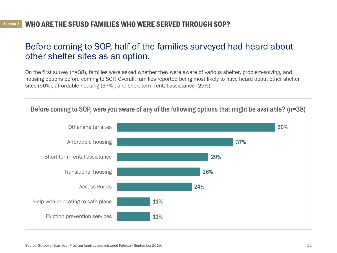## Before coming to SOP, half of the families surveyed had heard about other shelter sites as an option.

On the first survey (n=38), families were asked whether they were aware of various shelter, problem -solving, and housing options before coming to SOP. Overall, families reported being most likely to have heard about other shelter sites (50%), affordable housing (37%), and short-term rental assistance (29%).

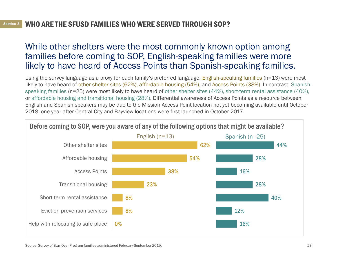## While other shelters were the most commonly known option among families before coming to SOP, English-speaking families were more likely to have heard of Access Points than Spanish-speaking families.

Using the survey language as a proxy for each family's preferred language, English-speaking families (n=13) were most likely to have heard of other shelter sites (62%), affordable housing (54%), and Access Points (38%). In contrast, Spanishspeaking families (n=25) were most likely to have heard of other shelter sites (44%), short-term rental assistance (40%), or affordable housing and transitional housing (28%). Differential awareness of Access Points as a resource between English and Spanish speakers may be due to the Mission Access Point location not yet becoming available until October 2018, one year after Central City and Bayview locations were first launched in October 2017.



Source: Survey of Stay Over Program families administered February-September 2019.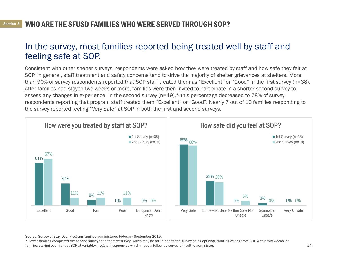## In the survey, most families reported being treated well by staff and feeling safe at SOP.

Consistent with other shelter surveys, respondents were asked how they were treated by staff and how safe they felt at SOP. In general, staff treatment and safety concerns tend to drive the majority of shelter grievances at shelters. More than 90% of survey respondents reported that SOP staff treated them as "Excellent" or "Good" in the first survey (n=38). After families had stayed two weeks or more, families were then invited to participate in a shorter second survey to assess any changes in experience. In the second survey (n=19),\* this percentage decreased to 78% of survey respondents reporting that program staff treated them "Excellent" or "Good". Nearly 7 out of 10 families responding to the survey reported feeling "Very Safe" at SOP in both the first and second surveys.



Source: Survey of Stay Over Program families administered February-September 2019.

\* Fewer families completed the second survey than the first survey, which may be attributed to the survey being optional, families exiting from SOP within two weeks, or families staying overnight at SOP at variable/irregular frequencies which made a follow-up survey difficult to administer.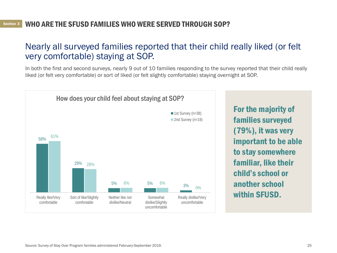## Nearly all surveyed families reported that their child really liked (or felt very comfortable) staying at SOP.

In both the first and second surveys, nearly 9 out of 10 families responding to the survey reported that their child really liked (or felt very comfortable) or sort of liked (or felt slightly comfortable) staying overnight at SOP.

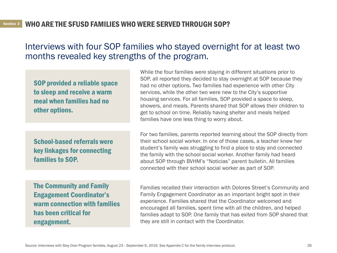### Interviews with four SOP families who stayed overnight for at least two months revealed key strengths of the program.

SOP provided a reliable space to sleep and receive a warm meal when families had no other options.

School-based referrals were key linkages for connecting families to SOP.

While the four families were staying in different situations prior to SOP, all reported they decided to stay overnight at SOP because they had no other options. Two families had experience with other City services, while the other two were new to the City's supportive housing services. For all families, SOP provided a space to sleep, showers, and meals. Parents shared that SOP allows their children to get to school on time. Reliably having shelter and meals helped families have one less thing to worry about.

For two families, parents reported learning about the SOP directly from their school social worker. In one of those cases, a teacher knew her student's family was struggling to find a place to stay and connected the family with the school social worker. Another family had heard about SOP through BVHM's "Noticias" parent bulletin. All families connected with their school social worker as part of SOP.

The Community and Family Engagement Coordinator's warm connection with families has been critical for engagement.

Families recalled their interaction with Dolores Street's Community and Family Engagement Coordinator as an important bright spot in their experience. Families shared that the Coordinator welcomed and encouraged all families, spent time with all the children, and helped families adapt to SOP. One family that has exited from SOP shared that they are still in contact with the Coordinator.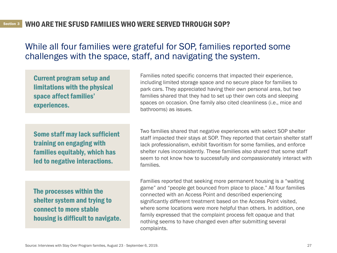### While all four families were grateful for SOP, families reported some challenges with the space, staff, and navigating the system.

Current program setup and limitations with the physical space affect families' experiences.

Families noted specific concerns that impacted their experience, including limited storage space and no secure place for families to park cars. They appreciated having their own personal area, but two families shared that they had to set up their own cots and sleeping spaces on occasion. One family also cited cleanliness (i.e., mice and bathrooms) as issues.

Some staff may lack sufficient training on engaging with families equitably, which has led to negative interactions.

The processes within the shelter system and trying to connect to more stable housing is difficult to navigate.

Two families shared that negative experiences with select SOP shelter staff impacted their stays at SOP. They reported that certain shelter staff lack professionalism, exhibit favoritism for some families, and enforce shelter rules inconsistently. These families also shared that some staff seem to not know how to successfully and compassionately interact with families.

Families reported that seeking more permanent housing is a "waiting game" and "people get bounced from place to place." All four families connected with an Access Point and described experiencing significantly different treatment based on the Access Point visited, where some locations were more helpful than others. In addition, one family expressed that the complaint process felt opaque and that nothing seems to have changed even after submitting several complaints.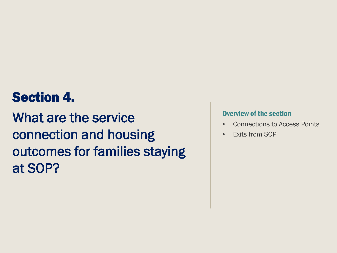# Section 4.

What are the service connection and housing outcomes for families staying at SOP?

### Overview of the section

- Connections to Access Points
- Exits from SOP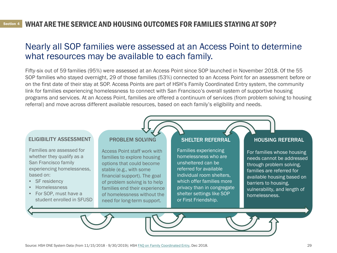### WHAT ARE THE SERVICE AND HOUSING OUTCOMES FOR FAMILIES STAYING AT SOP? <sup>4</sup>

## Nearly all SOP families were assessed at an Access Point to determine what resources may be available to each family.

Fifty-six out of 59 families (95%) were assessed at an Access Point since SOP launched in November 2018. Of the 55 SOP families who stayed overnight, 29 of those families (53%) connected to an Access Point for an assessment before or on the first date of their stay at SOP. Access Points are part of HSH's Family Coordinated Entry system, the community link for families experiencing homelessness to connect with San Francisco's overall system of supportive housing programs and services. At an Access Point, families are offered a continuum of services (from problem solving to housing referral) and move across different available resources, based on each family's eligibility and needs.

#### ELIGIBILITY ASSESSMENT

Families are assessed for whether they qualify as a San Francisco family experiencing homelessness, based on:

- SF residency
- Homelessness
- For SOP, must have a student enrolled in SFUSD

#### PROBLEM SOLVING

Access Point staff work with families to explore housing options that could become stable (e.g., with some financial support). The goal of problem solving is to help families end their experience of homelessness without the need for long-term support.

#### SHELTER REFERRAL

Families experiencing homelessness who are unsheltered can be referred for available individual room shelters, which offer families more privacy than in congregate shelter settings like SOP or First Friendship.

### HOUSING REFERRAL

For families whose housing needs cannot be addressed through problem solving, families are referred for available housing based on barriers to housing, vulnerability, and length of homelessness.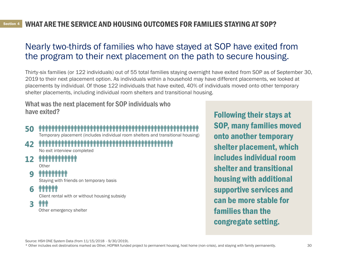# Nearly two-thirds of families who have stayed at SOP have exited from the program to their next placement on the path to secure housing.

Thirty-six families (or 122 individuals) out of 55 total families staying overnight have exited from SOP as of September 30, 2019 to their next placement option. As individuals within a household may have different placements, we looked at placements by individual. Of those 122 individuals that have exited, 40% of individuals moved onto other temporary shelter placements, including individual room shelters and transitional housing.

What was the next placement for SOP individuals who have exited?

# 50 111

### Temporary placement (includes individual room shelters and transitional housing)<br>พุทพิพพ์ที่พิพพ์ที่พิพพ์ที่พิพพ์ที่พิพพ์ที่พิพพ์ที่พิพพ์ที่พิพพ์ที่พิพพ์ที่พิพพ์ที่พิพพ์ที่พิพพ์ที่พิพพ์ที่พิ 42

No exit interview completed

# 12 \*\*\*\*\*\*\*\*\*\*\*\*

**Other** 

#### *^^^^^^^^^^^^^* q

Staying with friends on temporary basis

6 11111

Client rental with or without housing subsidy

ቀቀቀ 3

Other emergency shelter

Following their stays at SOP, many families moved onto another temporary shelter placement, which includes individual room shelter and transitional housing with additional supportive services and can be more stable for families than the congregate setting.

Source: HSH ONE System Data (from 11/15/2018 - 9/30/2019).

\* Other includes exit destinations marked as Other, HOPWA funded project to permanent housing, host home (non-crisis), and staying with family permanently.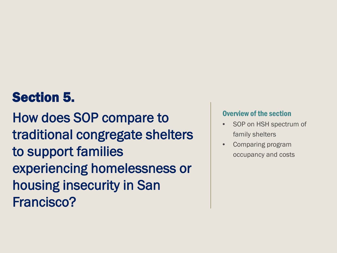# Section 5.

How does SOP compare to traditional congregate shelters to support families experiencing homelessness or housing insecurity in San Francisco?

### Overview of the section

- SOP on HSH spectrum of family shelters
- Comparing program occupancy and costs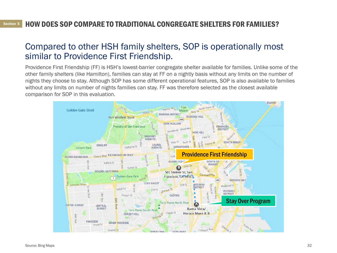#### **Section 5** HOW DOES SOP COMPARE TO TRADITIONAL CONGREGATE SHELTERS FOR FAMILIES? <sup>5</sup>

### Compared to other HSH family shelters, SOP is operationally most similar to Providence First Friendship.

Providence First Friendship (FF) is HSH's lowest-barrier congregate shelter available for families. Unlike some of the other family shelters (like Hamilton), families can stay at FF on a nightly basis without any limits on the number of nights they choose to stay. Although SOP has some different operational features, SOP is also available to families without any limits on number of nights families can stay. FF was therefore selected as the closest available comparison for SOP in this evaluation.

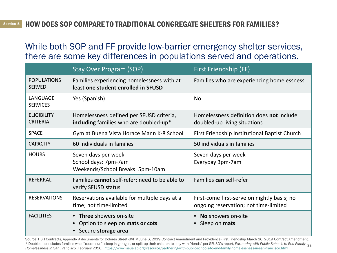While both SOP and FF provide low-barrier emergency shelter services, there are some key differences in populations served and operations.

|                                       | <b>Stay Over Program (SOP)</b>                                                     | First Friendship (FF)                                                                |
|---------------------------------------|------------------------------------------------------------------------------------|--------------------------------------------------------------------------------------|
| <b>POPULATIONS</b><br><b>SERVED</b>   | Families experiencing homelessness with at<br>least one student enrolled in SFUSD  | Families who are experiencing homelessness                                           |
| LANGUAGE<br><b>SERVICES</b>           | Yes (Spanish)                                                                      | <b>No</b>                                                                            |
| <b>ELIGIBILITY</b><br><b>CRITERIA</b> | Homelessness defined per SFUSD criteria,<br>including families who are doubled-up* | Homelessness definition does not include<br>doubled-up living situations             |
| <b>SPACE</b>                          | Gym at Buena Vista Horace Mann K-8 School                                          | First Friendship Institutional Baptist Church                                        |
| <b>CAPACITY</b>                       | 60 individuals in families                                                         | 50 individuals in families                                                           |
| <b>HOURS</b>                          | Seven days per week<br>School days: 7pm-7am<br>Weekends/School Breaks: 5pm-10am    | Seven days per week<br>Everyday 3pm-7am                                              |
| <b>REFERRAL</b>                       | Families cannot self-refer; need to be able to<br>verify SFUSD status              | Families can self-refer                                                              |
| <b>RESERVATIONS</b>                   | Reservations available for multiple days at a<br>time; not time-limited            | First-come first-serve on nightly basis; no<br>ongoing reservation; not time-limited |
| <b>FACILITIES</b>                     | • Three showers on-site<br>Option to sleep on mats or cots<br>Secure storage area  | No showers on-site<br>Sleep on <b>mats</b>                                           |

\* Doubled-up includes families who "'couch surf', sleep in garages, or split up their children to stay with friends" per SFUSD's report, *Partnering with Public Schools to End Family* 33<br>Using lagges in Car Famazions (Fahm Source: HSH Contracts, Appendix A documents for Dolores Street-BVHM June 6, 2019 Contract Amendment and Providence-First Friendship March 26, 2019 Contract Amendment. *Homelessness in San Francisco* (February 2016). <https://www.issuelab.org/resource/partnering-with-public-schools-to-end-family-homelessness-in-san-francisco.html>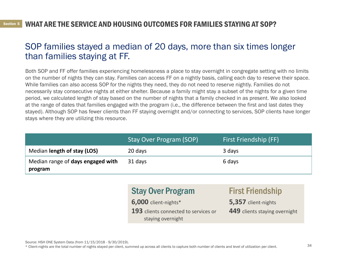### WHAT ARE THE SERVICE AND HOUSING OUTCOMES FOR FAMILIES STAYING AT SOP? <sup>5</sup>

## SOP families stayed a median of 20 days, more than six times longer than families staying at FF.

Both SOP and FF offer families experiencing homelessness a place to stay overnight in congregate setting with no limits on the number of nights they can stay. Families can access FF on a nightly basis, calling each day to reserve their space. While families can also access SOP for the nights they need, they do not need to reserve nightly. Families do not necessarily stay consecutive nights at either shelter. Because a family might stay a subset of the nights for a given time period, we calculated length of stay based on the number of nights that a family checked in as present. We also looked at the range of dates that families engaged with the program (i.e., the difference between the first and last dates they stayed). Although SOP has fewer clients than FF staying overnight and/or connecting to services, SOP clients have longer stays where they are utilizing this resource.

|                                              | Stay Over Program (SOP) | First Friendship (FF) |
|----------------------------------------------|-------------------------|-----------------------|
| Median length of stay (LOS)                  | 20 days                 | 3 days                |
| Median range of days engaged with<br>program | 31 days                 | 6 days                |

## Stay Over Program

**6,000** client-nights\* **193** clients connected to services or staying overnight

# First Friendship

**5,357** client-nights

**449** clients staying overnight

Source: HSH ONE System Data (from 11/15/2018 - 9/30/2019).

\* Client-nights are the total number of nights stayed per client, summed up across all clients to capture both number of clients and level of utilization per client.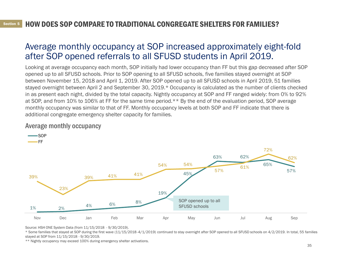### HOW DOES SOP COMPARE TO TRADITIONAL CONGREGATE SHELTERS FOR FAMILIES? <sup>5</sup>

## Average monthly occupancy at SOP increased approximately eight-fold after SOP opened referrals to all SFUSD students in April 2019.

Looking at average occupancy each month, SOP initially had lower occupancy than FF but this gap decreased after SOP opened up to all SFUSD schools. Prior to SOP opening to all SFUSD schools, five families stayed overnight at SOP between November 15, 2018 and April 1, 2019. After SOP opened up to all SFUSD schools in April 2019, 51 families stayed overnight between April 2 and September 30, 2019.\* Occupancy is calculated as the number of clients checked in as present each night, divided by the total capacity. Nightly occupancy at SOP and FF ranged widely: from 0% to 92% at SOP, and from 10% to 106% at FF for the same time period.\*\* By the end of the evaluation period, SOP average monthly occupancy was similar to that of FF. Monthly occupancy levels at both SOP and FF indicate that there is additional congregate emergency shelter capacity for families.

#### 1% 2% 4% 6% 8% 19% 45% 63% 62% 65% 57% 39% 23% 39% 41% 41% 54% 54% 57% 61% 72% 62% Nov Dec Jan Feb Mar Apr May Jun Jul Aug Sep — SOP  $-FF$ SOP opened up to all SFUSD schools

### Average monthly occupancy

Source: HSH ONE System Data (from 11/15/2018 - 9/30/2019).

\* Some families that stayed at SOP during the first wave (11/15/2018 -4/1/2019) continued to stay overnight after SOP opened to all SFUSD schools on 4/2/2019. In total, 55 families stayed at SOP from 11/15/2018 - 9/30/2019.

\*\* Nightly occupancy may exceed 100% during emergency shelter activations.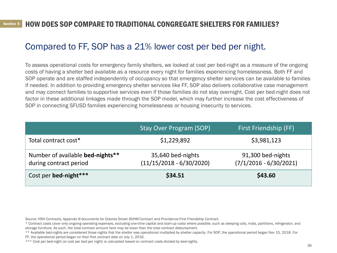### HOW DOES SOP COMPARE TO TRADITIONAL CONGREGATE SHELTERS FOR FAMILIES? <sup>5</sup>

# Compared to FF, SOP has a 21% lower cost per bed per night.

To assess operational costs for emergency family shelters, we looked at cost per bed-night as a measure of the ongoing costs of having a shelter bed available as a resource every night for families experiencing homelessness. Both FF and SOP operate and are staffed independently of occupancy so that emergency shelter services can be available to families if needed. In addition to providing emergency shelter services like FF, SOP also delivers collaborative case management and may connect families to supportive services even if those families do not stay overnight. Cost per bed-night does not factor in these additional linkages made through the SOP model, which may further increase the cost effectiveness of SOP in connecting SFUSD families experiencing homelessness or housing insecurity to services.

|                                                            | <b>Stay Over Program (SOP)</b>                  | First Friendship (FF)                         |
|------------------------------------------------------------|-------------------------------------------------|-----------------------------------------------|
| Total contract cost*                                       | \$1,229,892                                     | \$3,981,123                                   |
| Number of available bed-nights**<br>during contract period | 35,640 bed-nights<br>$(11/15/2018 - 6/30/2020)$ | 91,300 bed-nights<br>$(7/1/2016 - 6/30/2021)$ |
| Cost per bed-night***                                      | \$34.51                                         | \$43.60                                       |

\*\* Available bed-nights are considered those nights that the shelter was operational multiplied by shelter capacity. For SOP, the operational period began Nov 15, 2018. For

FF, the operational period began on their first contract date on July 1, 2016.

Source: HSH Contracts, Appendix B documents for Dolores Street-BVHM Contract and Providence-First Friendship Contract.

<sup>\*</sup> Contract costs cover only ongoing operating expenses, excluding one-time capital and start-up costs where possible, such as sleeping cots, mats, partitions, refrigerator, and storage furniture. As such, the total contract amount here may be lower than the total contract disbursement.

<sup>\*\*\*</sup> Cost per bed-night (or cost per bed per night) is calculated based on contract costs divided by bed-nights.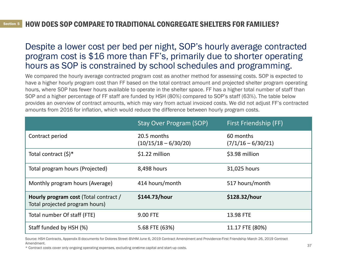# Despite a lower cost per bed per night, SOP's hourly average contracted program cost is \$16 more than FF's, primarily due to shorter operating hours as SOP is constrained by school schedules and programming.

We compared the hourly average contracted program cost as another method for assessing costs. SOP is expected to have a higher hourly program cost than FF based on the total contract amount and projected shelter program operating hours, where SOP has fewer hours available to operate in the shelter space. FF has a higher total number of staff than SOP and a higher percentage of FF staff are funded by HSH (80%) compared to SOP's staff (63%). The table below provides an overview of contract amounts, which may vary from actual invoiced costs. We did not adjust FF's contracted amounts from 2016 for inflation, which would reduce the difference between hourly program costs.

|                                                                         | <b>Stay Over Program (SOP)</b>        | First Friendship (FF)             |
|-------------------------------------------------------------------------|---------------------------------------|-----------------------------------|
| Contract period                                                         | 20.5 months<br>$(10/15/18 - 6/30/20)$ | 60 months<br>$(7/1/16 - 6/30/21)$ |
| Total contract $(\xi)^*$                                                | \$1.22 million                        | \$3.98 million                    |
| Total program hours (Projected)                                         | 8,498 hours                           | 31,025 hours                      |
| Monthly program hours (Average)                                         | 414 hours/month                       | 517 hours/month                   |
| Hourly program cost (Total contract /<br>Total projected program hours) | \$144.73/hour                         | \$128.32/hour                     |
| Total number Of staff (FTE)                                             | 9.00 FTE                              | 13.98 FTE                         |
| Staff funded by HSH (%)                                                 | 5.68 FTE (63%)                        | 11.17 FTE (80%)                   |

Source: HSH Contracts, Appendix B documents for Dolores Street-BVHM June 6, 2019 Contract Amendment and Providence-First Friendship March 26, 2019 Contract Amendment.

\* Contract costs cover only ongoing operating expenses, excluding onetime capital and start-up costs.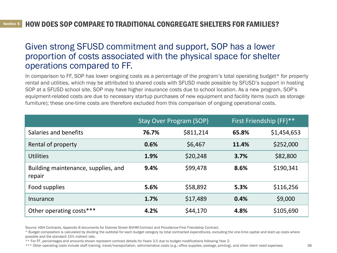### HOW DOES SOP COMPARE TO TRADITIONAL CONGREGATE SHELTERS FOR FAMILIES? <sup>5</sup>

## Given strong SFUSD commitment and support, SOP has a lower proportion of costs associated with the physical space for shelter operations compared to FF.

In comparison to FF, SOP has lower ongoing costs as a percentage of the program's total operating budget\* for property rental and utilities, which may be attributed to shared costs with SFUSD made possible by SFUSD's support in hosting SOP at a SFUSD school site. SOP may have higher insurance costs due to school location. As a new program, SOP's equipment-related costs are due to necessary startup purchases of new equipment and facility items (such as storage furniture); these one-time costs are therefore excluded from this comparison of ongoing operational costs.

|                                               | <b>Stay Over Program (SOP)</b> |           | First Friendship (FF)** |             |
|-----------------------------------------------|--------------------------------|-----------|-------------------------|-------------|
| Salaries and benefits                         | 76.7%                          | \$811,214 | 65.8%                   | \$1,454,653 |
| Rental of property                            | 0.6%                           | \$6,467   | 11.4%                   | \$252,000   |
| <b>Utilities</b>                              | 1.9%                           | \$20,248  | 3.7%                    | \$82,800    |
| Building maintenance, supplies, and<br>repair | 9.4%                           | \$99,478  | 8.6%                    | \$190,341   |
| Food supplies                                 | 5.6%                           | \$58,892  | 5.3%                    | \$116,256   |
| Insurance                                     | 1.7%                           | \$17,489  | 0.4%                    | \$9,000     |
| Other operating costs***                      | 4.2%                           | \$44,170  | 4.8%                    | \$105,690   |

Source: HSH Contracts, Appendix B documents for Dolores Street-BVHM Contract and Providence-First Friendship Contract.

\* Budget composition is calculated by dividing the subtotal for each budget category by total contracted expenditures, excluding the one-time capital and start-up costs where possible and the standard 15% indirect rate.

\*\* For FF, percentages and amounts shown represent contract details for Years 3-5 due to budget modifications following Year 2.

\*\*\* Other operating costs include staff training, travel/transportation, administrative costs (e.g., office supplies, postage, printing), and other client need expenses.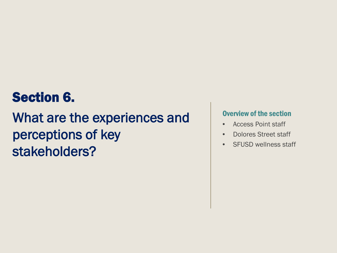# Section 6.

# What are the experiences and perceptions of key stakeholders?

### Overview of the section

- Access Point staff
- Dolores Street staff
- SFUSD wellness staff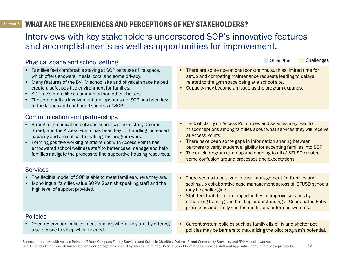#### **Section 6** WHAT ARE THE EXPERIENCES AND PERCEPTIONS OF KEY STAKEHOLDERS? <sup>6</sup>

## Interviews with key stakeholders underscored SOP's innovative features and accomplishments as well as opportunities for improvement.

#### Physical space and school setting • Families feel comfortable staying at SOP because of its space, which offers showers, meals, cots, and some privacy. • Many features of the BVHM school site and physical space helped create a safe, positive environment for families. • SOP feels more like a community than other shelters. • The community's involvement and openness to SOP has been key to the launch and continued success of SOP. • There are some operational constraints, such as limited time for setup and competing maintenance requests leading to delays, related to the gym space being at a school site. • Capacity may become an issue as the program expands. Communication and partnerships • Strong communication between school wellness staff, Dolores Street, and the Access Points has been key for handling increased capacity and are critical to making this program work. • Forming positive working relationships with Access Points has empowered school wellness staff to better case manage and help families navigate the process to find supportive housing resources. Lack of clarity on Access Point roles and services may lead to misconceptions among families about what services they will receive at Access Points. • There have been some gaps in information sharing between partners to verify student eligibility for accepting families into SOP. • The quick program ramp-up and opening to all of SFUSD created some confusion around processes and expectations. **Services** • The flexible model of SOP is able to meet families where they are. • Monolingual families value SOP's Spanish-speaking staff and the high level of support provided. Strengths Challenges • There seems to be a gap in case management for families and scaling up collaborative case management across all SFUSD schools may be challenging. • Staff feel that there are opportunities to improve services by enhancing training and building understanding of Coordinated Entry processes and family shelter and trauma-informed systems. Policies • Open reservation policies meet families where they are, by offering a safe place to sleep when needed. • Current system policies such as family eligibility and shelter pet policies may be barriers to maximizing the pilot program's potential.

Source: Interviews with Access Point staff from Compass Family Services and Catholic Charities, Dolores Street Community Services, and BVHM social worker. See Appendix D for more detail on stakeholder perceptions shared by Access Point and Dolores Street Community Services staff and Appendix E for the interview protocols.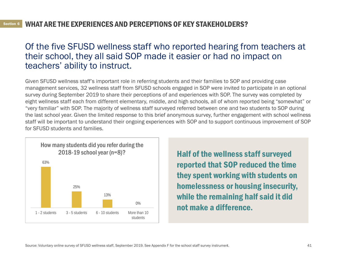### WHAT ARE THE EXPERIENCES AND PERCEPTIONS OF KEY STAKEHOLDERS? <sup>6</sup>

## Of the five SFUSD wellness staff who reported hearing from teachers at their school, they all said SOP made it easier or had no impact on teachers' ability to instruct.

Given SFUSD wellness staff's important role in referring students and their families to SOP and providing case management services, 32 wellness staff from SFUSD schools engaged in SOP were invited to participate in an optional survey during September 2019 to share their perceptions of and experiences with SOP. The survey was completed by eight wellness staff each from different elementary, middle, and high schools, all of whom reported being "somewhat" or "very familiar" with SOP. The majority of wellness staff surveyed referred between one and two students to SOP during the last school year. Given the limited response to this brief anonymous survey, further engagement with school wellness staff will be important to understand their ongoing experiences with SOP and to support continuous improvement of SOP for SFUSD students and families.



Half of the wellness staff surveyed reported that SOP reduced the time they spent working with students on homelessness or housing insecurity, while the remaining half said it did not make a difference.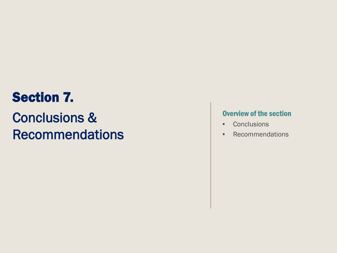# Section 7.

# Conclusions & Recommendations

### Overview of the section

- Conclusions
- Recommendations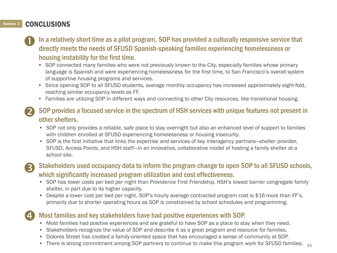### Section 7 CONCLUSIONS

- In a relatively short time as a pilot program, SOP has provided a culturally responsive service that directly meets the needs of SFUSD Spanish-speaking families experiencing homelessness or housing instability for the first time.  $\mathbf 0$ 
	- SOP connected many families who were not previously known to the City, especially families whose primary language is Spanish and were experiencing homelessness for the first time, to San Francisco's overall system of supportive housing programs and services.
	- Since opening SOP to all SFUSD students, average monthly occupancy has increased approximately eight-fold, reaching similar occupancy levels as FF.
	- Families are utilizing SOP in different ways and connecting to other City resources, like transitional housing.
- SOP provides a focused service in the spectrum of HSH services with unique features not present in other shelters. 2
	- SOP not only provides a reliable, safe place to stay overnight but also an enhanced level of support to families with children enrolled at SFUSD experiencing homelessness or housing insecurity.
	- SOP is the first initiative that links the expertise and services of key interagency partners—shelter provider, SFUSD, Access Points, and HSH staff—in an innovative, collaborative model of hosting a family shelter at a school site.
- (R)

Stakeholders used occupancy data to inform the program change to open SOP to all SFUSD schools, which significantly increased program utilization and cost effectiveness.

- SOP has lower costs per bed per night than Providence First Friendship, HSH's lowest barrier congregate family shelter, in part due to its higher capacity.
- Despite a lower cost per bed per night, SOP's hourly average contracted program cost is \$16 more than FF's, primarily due to shorter operating hours as SOP is constrained by school schedules and programming.

### Most families and key stakeholders have had positive experiences with SOP. 4

- Most families had positive experiences and are grateful to have SOP as a place to stay when they need.
- Stakeholders recognize the value of SOP and describe it as a great program and resource for families.
- Dolores Street has created a family-oriented space that has encouraged a sense of community at SOP.
- $\bullet~$  There is strong commitment among SOP partners to continue to make this program work for SFUSD families.  $\quad_{43}$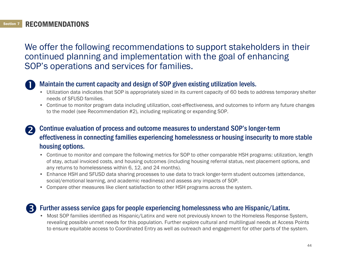### Section 7 RECOMMENDATIONS

We offer the following recommendations to support stakeholders in their continued planning and implementation with the goal of enhancing SOP's operations and services for families.



### Maintain the current capacity and design of SOP given existing utilization levels.

- Utilization data indicates that SOP is appropriately sized in its current capacity of 60 beds to address temporary shelter needs of SFUSD families.
- Continue to monitor program data including utilization, cost-effectiveness, and outcomes to inform any future changes to the model (see Recommendation #2), including replicating or expanding SOP.

### Continue evaluation of process and outcome measures to understand SOP's longer-term effectiveness in connecting families experiencing homelessness or housing insecurity to more stable housing options. 2

- Continue to monitor and compare the following metrics for SOP to other comparable HSH programs: utilization, length of stay, actual invoiced costs, and housing outcomes (including housing referral status, next placement options, and any returns to homelessness within 6, 12, and 24 months).
- Enhance HSH and SFUSD data sharing processes to use data to track longer-term student outcomes (attendance, social/emotional learning, and academic readiness) and assess any impacts of SOP.
- Compare other measures like client satisfaction to other HSH programs across the system.

### Further assess service gaps for people experiencing homelessness who are Hispanic/Latinx. 8

• Most SOP families identified as Hispanic/Latinx and were not previously known to the Homeless Response System, revealing possible unmet needs for this population. Further explore cultural and multilingual needs at Access Points to ensure equitable access to Coordinated Entry as well as outreach and engagement for other parts of the system.